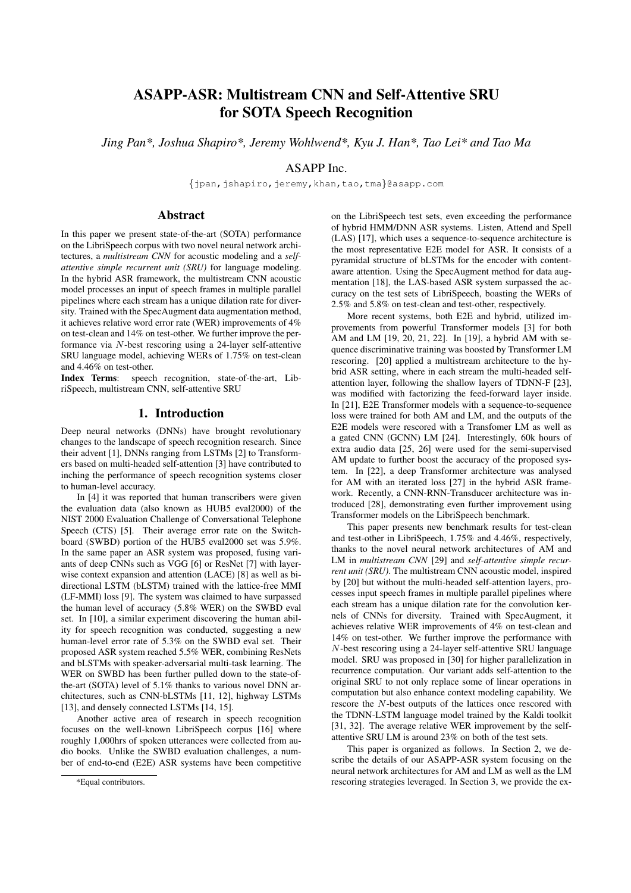# ASAPP-ASR: Multistream CNN and Self-Attentive SRU for SOTA Speech Recognition

*Jing Pan\*, Joshua Shapiro\*, Jeremy Wohlwend\*, Kyu J. Han\*, Tao Lei\* and Tao Ma*

# ASAPP Inc.

{jpan,jshapiro,jeremy,khan,tao,tma}@asapp.com

# Abstract

In this paper we present state-of-the-art (SOTA) performance on the LibriSpeech corpus with two novel neural network architectures, a *multistream CNN* for acoustic modeling and a *selfattentive simple recurrent unit (SRU)* for language modeling. In the hybrid ASR framework, the multistream CNN acoustic model processes an input of speech frames in multiple parallel pipelines where each stream has a unique dilation rate for diversity. Trained with the SpecAugment data augmentation method, it achieves relative word error rate (WER) improvements of 4% on test-clean and 14% on test-other. We further improve the performance via N-best rescoring using a 24-layer self-attentive SRU language model, achieving WERs of 1.75% on test-clean and 4.46% on test-other.<br>Index Terms: speech

speech recognition, state-of-the-art, LibriSpeech, multistream CNN, self-attentive SRU

# 1. Introduction

Deep neural networks (DNNs) have brought revolutionary changes to the landscape of speech recognition research. Since their advent [1], DNNs ranging from LSTMs [2] to Transformers based on multi-headed self-attention [3] have contributed to inching the performance of speech recognition systems closer to human-level accuracy.

In [4] it was reported that human transcribers were given the evaluation data (also known as HUB5 eval2000) of the NIST 2000 Evaluation Challenge of Conversational Telephone Speech (CTS) [5]. Their average error rate on the Switchboard (SWBD) portion of the HUB5 eval2000 set was 5.9%. In the same paper an ASR system was proposed, fusing variants of deep CNNs such as VGG [6] or ResNet [7] with layerwise context expansion and attention (LACE) [8] as well as bidirectional LSTM (bLSTM) trained with the lattice-free MMI (LF-MMI) loss [9]. The system was claimed to have surpassed the human level of accuracy (5.8% WER) on the SWBD eval set. In [10], a similar experiment discovering the human ability for speech recognition was conducted, suggesting a new human-level error rate of 5.3% on the SWBD eval set. Their proposed ASR system reached 5.5% WER, combining ResNets and bLSTMs with speaker-adversarial multi-task learning. The WER on SWBD has been further pulled down to the state-ofthe-art (SOTA) level of 5.1% thanks to various novel DNN architectures, such as CNN-bLSTMs [11, 12], highway LSTMs [13], and densely connected LSTMs [14, 15].

Another active area of research in speech recognition focuses on the well-known LibriSpeech corpus [16] where roughly 1,000hrs of spoken utterances were collected from audio books. Unlike the SWBD evaluation challenges, a number of end-to-end (E2E) ASR systems have been competitive

on the LibriSpeech test sets, even exceeding the performance of hybrid HMM/DNN ASR systems. Listen, Attend and Spell (LAS) [17], which uses a sequence-to-sequence architecture is the most representative E2E model for ASR. It consists of a pyramidal structure of bLSTMs for the encoder with contentaware attention. Using the SpecAugment method for data augmentation [18], the LAS-based ASR system surpassed the accuracy on the test sets of LibriSpeech, boasting the WERs of 2.5% and 5.8% on test-clean and test-other, respectively.

More recent systems, both E2E and hybrid, utilized improvements from powerful Transformer models [3] for both AM and LM [19, 20, 21, 22]. In [19], a hybrid AM with sequence discriminative training was boosted by Transformer LM rescoring. [20] applied a multistream architecture to the hybrid ASR setting, where in each stream the multi-headed selfattention layer, following the shallow layers of TDNN-F [23], was modified with factorizing the feed-forward layer inside. In [21], E2E Transformer models with a sequence-to-sequence loss were trained for both AM and LM, and the outputs of the E2E models were rescored with a Transfomer LM as well as a gated CNN (GCNN) LM [24]. Interestingly, 60k hours of extra audio data [25, 26] were used for the semi-supervised AM update to further boost the accuracy of the proposed system. In [22], a deep Transformer architecture was analysed for AM with an iterated loss [27] in the hybrid ASR framework. Recently, a CNN-RNN-Transducer architecture was introduced [28], demonstrating even further improvement using Transformer models on the LibriSpeech benchmark.

This paper presents new benchmark results for test-clean and test-other in LibriSpeech, 1.75% and 4.46%, respectively, thanks to the novel neural network architectures of AM and LM in *multistream CNN* [29] and *self-attentive simple recurrent unit (SRU)*. The multistream CNN acoustic model, inspired by [20] but without the multi-headed self-attention layers, processes input speech frames in multiple parallel pipelines where each stream has a unique dilation rate for the convolution kernels of CNNs for diversity. Trained with SpecAugment, it achieves relative WER improvements of 4% on test-clean and 14% on test-other. We further improve the performance with N-best rescoring using a 24-layer self-attentive SRU language model. SRU was proposed in [30] for higher parallelization in recurrence computation. Our variant adds self-attention to the original SRU to not only replace some of linear operations in computation but also enhance context modeling capability. We rescore the N-best outputs of the lattices once rescored with the TDNN-LSTM language model trained by the Kaldi toolkit [31, 32]. The average relative WER improvement by the selfattentive SRU LM is around 23% on both of the test sets.

This paper is organized as follows. In Section 2, we describe the details of our ASAPP-ASR system focusing on the neural network architectures for AM and LM as well as the LM rescoring strategies leveraged. In Section 3, we provide the ex-

<sup>\*</sup>Equal contributors.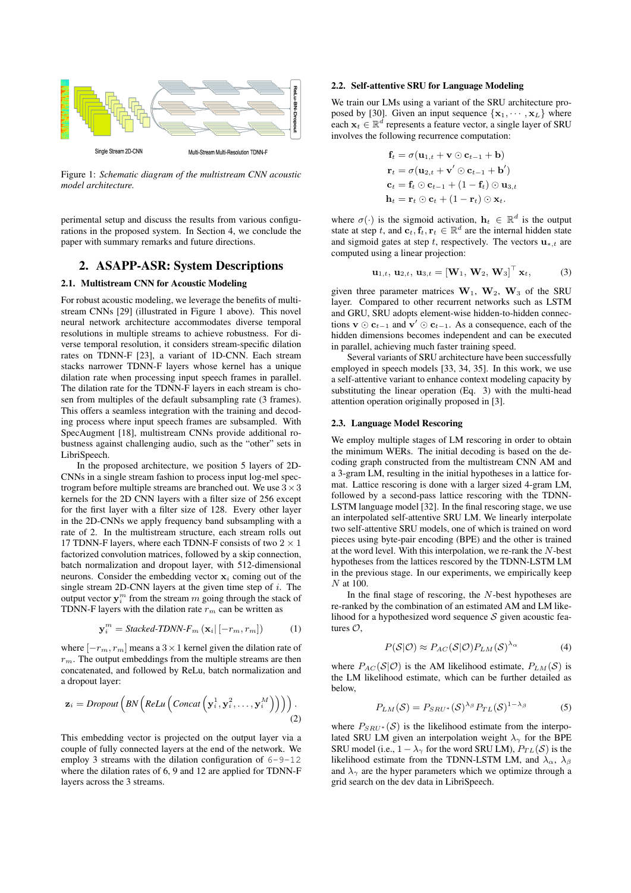

Figure 1: *Schematic diagram of the multistream CNN acoustic model architecture.*

perimental setup and discuss the results from various configurations in the proposed system. In Section 4, we conclude the paper with summary remarks and future directions.

# 2. ASAPP-ASR: System Descriptions

## 2.1. Multistream CNN for Acoustic Modeling

For robust acoustic modeling, we leverage the benefits of multistream CNNs [29] (illustrated in Figure 1 above). This novel neural network architecture accommodates diverse temporal resolutions in multiple streams to achieve robustness. For diverse temporal resolution, it considers stream-specific dilation rates on TDNN-F [23], a variant of 1D-CNN. Each stream stacks narrower TDNN-F layers whose kernel has a unique dilation rate when processing input speech frames in parallel. The dilation rate for the TDNN-F layers in each stream is chosen from multiples of the default subsampling rate (3 frames). This offers a seamless integration with the training and decoding process where input speech frames are subsampled. With SpecAugment [18], multistream CNNs provide additional robustness against challenging audio, such as the "other" sets in LibriSpeech.

In the proposed architecture, we position 5 layers of 2D-CNNs in a single stream fashion to process input log-mel spectrogram before multiple streams are branched out. We use  $3 \times 3$ kernels for the 2D CNN layers with a filter size of 256 except for the first layer with a filter size of 128. Every other layer in the 2D-CNNs we apply frequency band subsampling with a rate of 2. In the multistream structure, each stream rolls out 17 TDNN-F layers, where each TDNN-F consists of two  $2 \times 1$ factorized convolution matrices, followed by a skip connection, batch normalization and dropout layer, with 512-dimensional neurons. Consider the embedding vector  $x_i$  coming out of the single stream 2D-CNN layers at the given time step of i. The output vector  $y_i^m$  from the stream m going through the stack of TDNN-F layers with the dilation rate  $r<sub>m</sub>$  can be written as

$$
\mathbf{y}_i^m = \text{Stacked-TDNN-F}_m \left( \mathbf{x}_i \middle| \left[ -r_m, r_m \right] \right) \tag{1}
$$

where  $[-r_m, r_m]$  means a  $3 \times 1$  kernel given the dilation rate of  $r<sub>m</sub>$ . The output embeddings from the multiple streams are then concatenated, and followed by ReLu, batch normalization and a dropout layer:

$$
\mathbf{z}_{i} = \text{Dropout}\left(BN\left(Relu\left(\text{Concat}\left(\mathbf{y}_{i}^{1}, \mathbf{y}_{i}^{2}, \ldots, \mathbf{y}_{i}^{M}\right)\right)\right)\right). \tag{2}
$$

This embedding vector is projected on the output layer via a couple of fully connected layers at the end of the network. We employ 3 streams with the dilation configuration of  $6 - 9 - 12$ where the dilation rates of 6, 9 and 12 are applied for TDNN-F layers across the 3 streams.

## 2.2. Self-attentive SRU for Language Modeling

We train our LMs using a variant of the SRU architecture proposed by [30]. Given an input sequence  $\{x_1, \dots, x_L\}$  where each  $x_t \in \mathbb{R}^d$  represents a feature vector, a single layer of SRU involves the following recurrence computation:

$$
\mathbf{f}_t = \sigma(\mathbf{u}_{1,t} + \mathbf{v} \odot \mathbf{c}_{t-1} + \mathbf{b})
$$
\n
$$
\mathbf{r}_t = \sigma(\mathbf{u}_{2,t} + \mathbf{v}' \odot \mathbf{c}_{t-1} + \mathbf{b}')
$$
\n
$$
\mathbf{c}_t = \mathbf{f}_t \odot \mathbf{c}_{t-1} + (1 - \mathbf{f}_t) \odot \mathbf{u}_{3,t}
$$
\n
$$
\mathbf{h}_t = \mathbf{r}_t \odot \mathbf{c}_t + (1 - \mathbf{r}_t) \odot \mathbf{x}_t.
$$

where  $\sigma(\cdot)$  is the sigmoid activation,  $\mathbf{h}_t \in \mathbb{R}^d$  is the output state at step t, and  $c_t, f_t, r_t \in \mathbb{R}^d$  are the internal hidden state and sigmoid gates at step t, respectively. The vectors  $\mathbf{u}_{*,t}$  are computed using a linear projection:

$$
\mathbf{u}_{1,t}, \mathbf{u}_{2,t}, \mathbf{u}_{3,t} = [\mathbf{W}_1, \mathbf{W}_2, \mathbf{W}_3]^{\top} \mathbf{x}_t, \tag{3}
$$

given three parameter matrices  $W_1$ ,  $W_2$ ,  $W_3$  of the SRU layer. Compared to other recurrent networks such as LSTM and GRU, SRU adopts element-wise hidden-to-hidden connections  $\mathbf{v} \odot \mathbf{c}_{t-1}$  and  $\mathbf{v}' \odot \mathbf{c}_{t-1}$ . As a consequence, each of the hidden dimensions becomes independent and can be executed in parallel, achieving much faster training speed.

Several variants of SRU architecture have been successfully employed in speech models [33, 34, 35]. In this work, we use a self-attentive variant to enhance context modeling capacity by substituting the linear operation (Eq. 3) with the multi-head attention operation originally proposed in [3].

#### 2.3. Language Model Rescoring

We employ multiple stages of LM rescoring in order to obtain the minimum WERs. The initial decoding is based on the decoding graph constructed from the multistream CNN AM and a 3-gram LM, resulting in the initial hypotheses in a lattice format. Lattice rescoring is done with a larger sized 4-gram LM, followed by a second-pass lattice rescoring with the TDNN-LSTM language model [32]. In the final rescoring stage, we use an interpolated self-attentive SRU LM. We linearly interpolate two self-attentive SRU models, one of which is trained on word pieces using byte-pair encoding (BPE) and the other is trained at the word level. With this interpolation, we re-rank the N-best hypotheses from the lattices rescored by the TDNN-LSTM LM in the previous stage. In our experiments, we empirically keep N at 100.

In the final stage of rescoring, the  $N$ -best hypotheses are re-ranked by the combination of an estimated AM and LM likelihood for a hypothesized word sequence  $S$  given acoustic features  $\mathcal{O}$ ,

$$
P(S|O) \approx P_{AC}(S|O)P_{LM}(S)^{\lambda_{\alpha}}
$$
 (4)

where  $P_{AC}(S|O)$  is the AM likelihood estimate,  $P_{LM}(S)$  is the LM likelihood estimate, which can be further detailed as below,

$$
P_{LM}(\mathcal{S}) = P_{SRU^*}(\mathcal{S})^{\lambda_\beta} P_{TL}(\mathcal{S})^{1-\lambda_\beta} \tag{5}
$$

where  $P_{SRU*}(\mathcal{S})$  is the likelihood estimate from the interpolated SRU LM given an interpolation weight  $\lambda_{\gamma}$  for the BPE SRU model (i.e.,  $1 - \lambda_{\gamma}$  for the word SRU LM),  $P_{TL}(S)$  is the likelihood estimate from the TDNN-LSTM LM, and  $\lambda_{\alpha}$ ,  $\lambda_{\beta}$ and  $\lambda_{\gamma}$  are the hyper parameters which we optimize through a grid search on the dev data in LibriSpeech.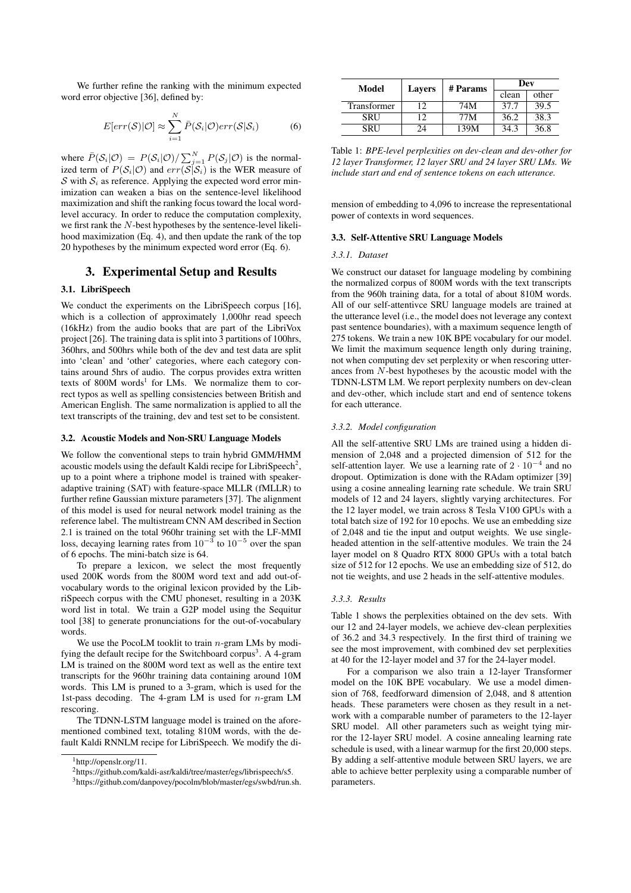We further refine the ranking with the minimum expected word error objective [36], defined by:

$$
E[err(S)|O] \approx \sum_{i=1}^{N} \bar{P}(S_i|\mathcal{O})err(S|S_i)
$$
 (6)

where  $\bar{P}(\mathcal{S}_i|\mathcal{O}) = P(\mathcal{S}_i|\mathcal{O})/\sum_{j=1}^{N} P(\mathcal{S}_j|\mathcal{O})$  is the normalized term of  $P(S_i|\mathcal{O})$  and  $err(S|\mathcal{S}_i)$  is the WER measure of S with  $S_i$  as reference. Applying the expected word error minimization can weaken a bias on the sentence-level likelihood maximization and shift the ranking focus toward the local wordlevel accuracy. In order to reduce the computation complexity, we first rank the N-best hypotheses by the sentence-level likelihood maximization (Eq. 4), and then update the rank of the top 20 hypotheses by the minimum expected word error (Eq. 6).

## 3. Experimental Setup and Results

## 3.1. LibriSpeech

We conduct the experiments on the LibriSpeech corpus [16], which is a collection of approximately 1,000hr read speech (16kHz) from the audio books that are part of the LibriVox project [26]. The training data is split into 3 partitions of 100hrs, 360hrs, and 500hrs while both of the dev and test data are split into 'clean' and 'other' categories, where each category contains around 5hrs of audio. The corpus provides extra written texts of  $800M$  words<sup>1</sup> for LMs. We normalize them to correct typos as well as spelling consistencies between British and American English. The same normalization is applied to all the text transcripts of the training, dev and test set to be consistent.

### 3.2. Acoustic Models and Non-SRU Language Models

We follow the conventional steps to train hybrid GMM/HMM acoustic models using the default Kaldi recipe for LibriSpeech<sup>2</sup>, up to a point where a triphone model is trained with speakeradaptive training (SAT) with feature-space MLLR (fMLLR) to further refine Gaussian mixture parameters [37]. The alignment of this model is used for neural network model training as the reference label. The multistream CNN AM described in Section 2.1 is trained on the total 960hr training set with the LF-MMI loss, decaying learning rates from  $10^{-3}$  to  $10^{-5}$  over the span of 6 epochs. The mini-batch size is 64.

To prepare a lexicon, we select the most frequently used 200K words from the 800M word text and add out-ofvocabulary words to the original lexicon provided by the LibriSpeech corpus with the CMU phoneset, resulting in a 203K word list in total. We train a G2P model using the Sequitur tool [38] to generate pronunciations for the out-of-vocabulary words.

We use the PocoLM tooklit to train  $n$ -gram LMs by modifying the default recipe for the Switchboard corpus<sup>3</sup>. A 4-gram LM is trained on the 800M word text as well as the entire text transcripts for the 960hr training data containing around 10M words. This LM is pruned to a 3-gram, which is used for the 1st-pass decoding. The 4-gram LM is used for n-gram LM rescoring.

The TDNN-LSTM language model is trained on the aforementioned combined text, totaling 810M words, with the default Kaldi RNNLM recipe for LibriSpeech. We modify the di-

|             | # Params<br>Model<br><b>Lavers</b> |       | Dev   |      |
|-------------|------------------------------------|-------|-------|------|
|             |                                    | clean | other |      |
| Transformer | 12.                                | 74M   | 37.7  | 39.5 |
| SRU         | 12                                 | 77M   | 36.2  | 38.3 |
| SRU         | 24                                 | 139M  | 34.3  | 36.8 |

Table 1: *BPE-level perplexities on dev-clean and dev-other for 12 layer Transformer, 12 layer SRU and 24 layer SRU LMs. We include start and end of sentence tokens on each utterance.*

mension of embedding to 4,096 to increase the representational power of contexts in word sequences.

#### 3.3. Self-Attentive SRU Language Models

#### *3.3.1. Dataset*

We construct our dataset for language modeling by combining the normalized corpus of 800M words with the text transcripts from the 960h training data, for a total of about 810M words. All of our self-attentivce SRU language models are trained at the utterance level (i.e., the model does not leverage any context past sentence boundaries), with a maximum sequence length of 275 tokens. We train a new 10K BPE vocabulary for our model. We limit the maximum sequence length only during training, not when computing dev set perplexity or when rescoring utterances from N-best hypotheses by the acoustic model with the TDNN-LSTM LM. We report perplexity numbers on dev-clean and dev-other, which include start and end of sentence tokens for each utterance.

#### *3.3.2. Model configuration*

All the self-attentive SRU LMs are trained using a hidden dimension of 2,048 and a projected dimension of 512 for the self-attention layer. We use a learning rate of  $2 \cdot 10^{-4}$  and no dropout. Optimization is done with the RAdam optimizer [39] using a cosine annealing learning rate schedule. We train SRU models of 12 and 24 layers, slightly varying architectures. For the 12 layer model, we train across 8 Tesla V100 GPUs with a total batch size of 192 for 10 epochs. We use an embedding size of 2,048 and tie the input and output weights. We use singleheaded attention in the self-attentive modules. We train the 24 layer model on 8 Quadro RTX 8000 GPUs with a total batch size of 512 for 12 epochs. We use an embedding size of 512, do not tie weights, and use 2 heads in the self-attentive modules.

#### *3.3.3. Results*

Table 1 shows the perplexities obtained on the dev sets. With our 12 and 24-layer models, we achieve dev-clean perplexities of 36.2 and 34.3 respectively. In the first third of training we see the most improvement, with combined dev set perplexities at 40 for the 12-layer model and 37 for the 24-layer model.

For a comparison we also train a 12-layer Transformer model on the 10K BPE vocabulary. We use a model dimension of 768, feedforward dimension of 2,048, and 8 attention heads. These parameters were chosen as they result in a network with a comparable number of parameters to the 12-layer SRU model. All other parameters such as weight tying mirror the 12-layer SRU model. A cosine annealing learning rate schedule is used, with a linear warmup for the first 20,000 steps. By adding a self-attentive module between SRU layers, we are able to achieve better perplexity using a comparable number of parameters.

<sup>&</sup>lt;sup>1</sup>http://openslr.org/11.

<sup>2</sup>https://github.com/kaldi-asr/kaldi/tree/master/egs/librispeech/s5.

<sup>3</sup>https://github.com/danpovey/pocolm/blob/master/egs/swbd/run.sh.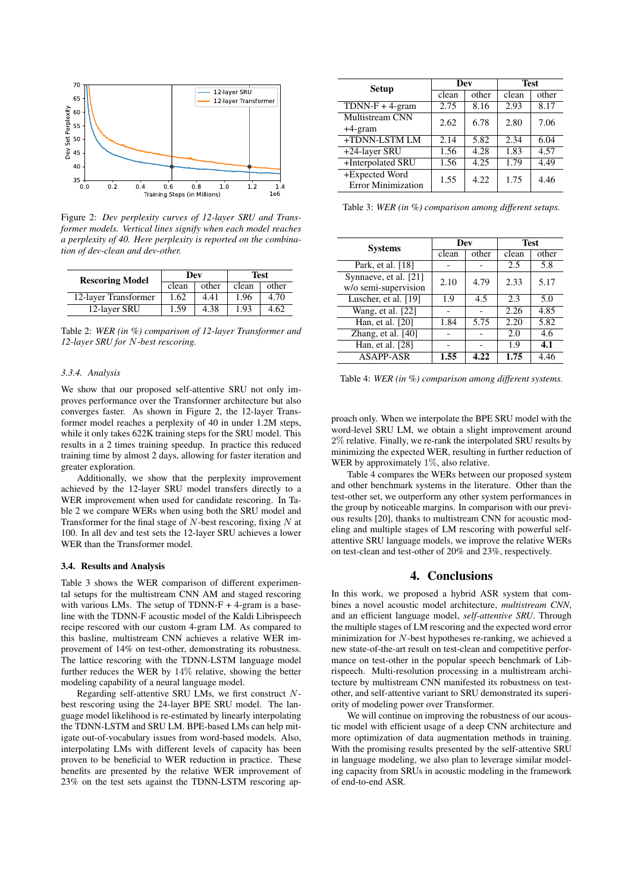

Figure 2: *Dev perplexity curves of 12-layer SRU and Transformer models. Vertical lines signify when each model reaches a perplexity of 40. Here perplexity is reported on the combination of dev-clean and dev-other.*

| <b>Rescoring Model</b> | Dev   |       | <b>Test</b> |       |
|------------------------|-------|-------|-------------|-------|
|                        | clean | other | clean       | other |
| 12-layer Transformer   | 1.62  | 4.41  | 1.96        | 4.70  |
| 12-layer SRU           | 1.59  | 4.38  | 1.93        | 4.62  |

Table 2: *WER (in %) comparison of 12-layer Transformer and 12-layer SRU for* N*-best rescoring.*

#### *3.3.4. Analysis*

We show that our proposed self-attentive SRU not only improves performance over the Transformer architecture but also converges faster. As shown in Figure 2, the 12-layer Transformer model reaches a perplexity of 40 in under 1.2M steps, while it only takes 622K training steps for the SRU model. This results in a 2 times training speedup. In practice this reduced training time by almost 2 days, allowing for faster iteration and greater exploration.

Additionally, we show that the perplexity improvement achieved by the 12-layer SRU model transfers directly to a WER improvement when used for candidate rescoring. In Table 2 we compare WERs when using both the SRU model and Transformer for the final stage of  $N$ -best rescoring, fixing  $N$  at 100. In all dev and test sets the 12-layer SRU achieves a lower WER than the Transformer model.

#### 3.4. Results and Analysis

Table 3 shows the WER comparison of different experimental setups for the multistream CNN AM and staged rescoring with various LMs. The setup of TDNN-F + 4-gram is a baseline with the TDNN-F acoustic model of the Kaldi Librispeech recipe rescored with our custom 4-gram LM. As compared to this basline, multistream CNN achieves a relative WER improvement of 14% on test-other, demonstrating its robustness. The lattice rescoring with the TDNN-LSTM language model further reduces the WER by 14% relative, showing the better modeling capability of a neural language model.

Regarding self-attentive SRU LMs, we first construct Nbest rescoring using the 24-layer BPE SRU model. The language model likelihood is re-estimated by linearly interpolating the TDNN-LSTM and SRU LM. BPE-based LMs can help mitigate out-of-vocabulary issues from word-based models. Also, interpolating LMs with different levels of capacity has been proven to be beneficial to WER reduction in practice. These benefits are presented by the relative WER improvement of 23% on the test sets against the TDNN-LSTM rescoring ap-

| <b>Setup</b>                                | Dev   |       | <b>Test</b> |       |
|---------------------------------------------|-------|-------|-------------|-------|
|                                             | clean | other | clean       | other |
| $TDNN-F + 4-gram$                           | 2.75  | 8.16  | 2.93        | 8.17  |
| Multistream CNN                             | 2.62  | 6.78  | 2.80        | 7.06  |
| $+4$ -gram                                  |       |       |             |       |
| +TDNN-LSTM LM                               | 2.14  | 5.82  | 2.34        | 6.04  |
| +24-layer SRU                               | 1.56  | 4.28  | 1.83        | 4.57  |
| +Interpolated SRU                           | 1.56  | 4.25  | 1.79        | 4.49  |
| +Expected Word<br><b>Error Minimization</b> | 1.55  | 4.22  | 1.75        | 4.46  |

Table 3: *WER (in %) comparison among different setups.*

| <b>Systems</b>                                | Dev   |       | <b>Test</b> |       |
|-----------------------------------------------|-------|-------|-------------|-------|
|                                               | clean | other | clean       | other |
| Park, et al. [18]                             |       |       | 2.5         | 5.8   |
| Synnaeve, et al. [21]<br>w/o semi-supervision | 2.10  | 4.79  | 2.33        | 5.17  |
| Luscher, et al. [19]                          | 1.9   | 4.5   | 2.3         | 5.0   |
| Wang, et al. $\overline{[22]}$                |       |       | 2.26        | 4.85  |
| Han, et al. [20]                              | 1.84  | 5.75  | 2.20        | 5.82  |
| Zhang, et al. $[40]$                          |       |       | 2.0         | 4.6   |
| Han, et al. [28]                              |       |       | 1.9         | 4.1   |
| <b>ASAPP-ASR</b>                              | 1.55  | 4.22  | 1.75        | 4.46  |

Table 4: *WER (in %) comparison among different systems.*

proach only. When we interpolate the BPE SRU model with the word-level SRU LM, we obtain a slight improvement around 2% relative. Finally, we re-rank the interpolated SRU results by minimizing the expected WER, resulting in further reduction of WER by approximately 1\%, also relative.

Table 4 compares the WERs between our proposed system and other benchmark systems in the literature. Other than the test-other set, we outperform any other system performances in the group by noticeable margins. In comparison with our previous results [20], thanks to multistream CNN for acoustic modeling and multiple stages of LM rescoring with powerful selfattentive SRU language models, we improve the relative WERs on test-clean and test-other of 20% and 23%, respectively.

## 4. Conclusions

In this work, we proposed a hybrid ASR system that combines a novel acoustic model architecture, *multistream CNN*, and an efficient language model, *self-attentive SRU*. Through the multiple stages of LM rescoring and the expected word error minimization for N-best hypotheses re-ranking, we achieved a new state-of-the-art result on test-clean and competitive performance on test-other in the popular speech benchmark of Librispeech. Multi-resolution processing in a multistream architecture by multistream CNN manifested its robustness on testother, and self-attentive variant to SRU demonstrated its superiority of modeling power over Transformer.

We will continue on improving the robustness of our acoustic model with efficient usage of a deep CNN architecture and more optimization of data augmentation methods in training. With the promising results presented by the self-attentive SRU in language modeling, we also plan to leverage similar modeling capacity from SRUs in acoustic modeling in the framework of end-to-end ASR.